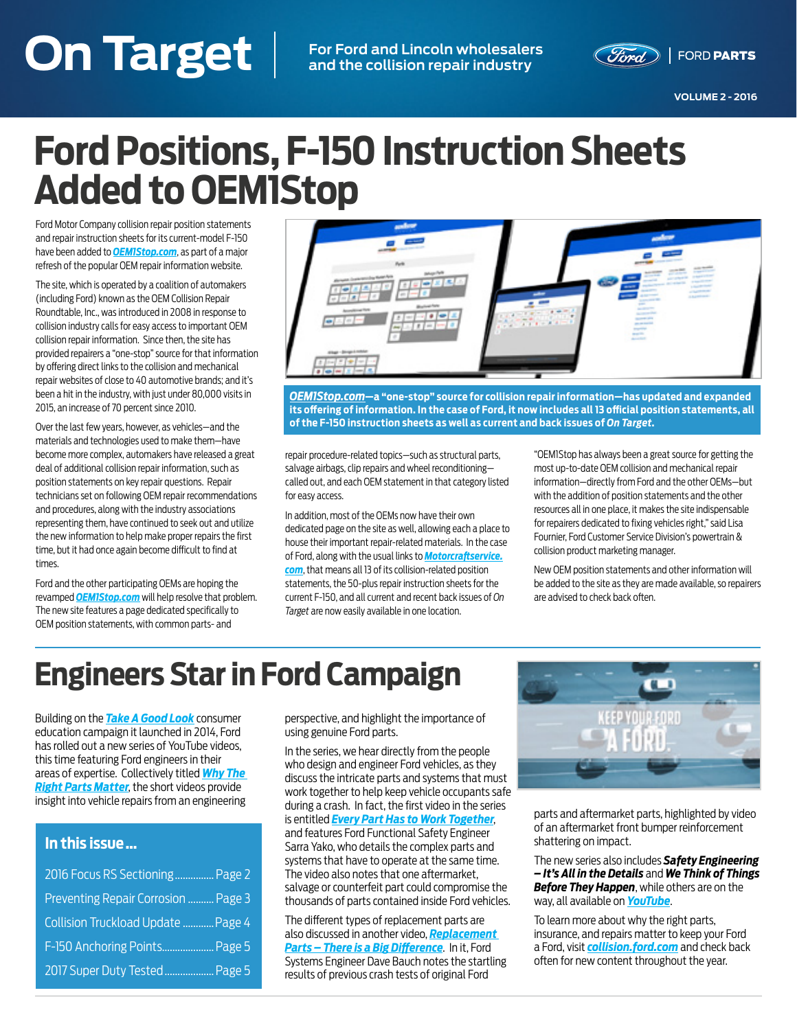### **On Target VOLUME 2 - 2016 On Target For Ford and Lincoln wholesalers**

**and the collision repair industry**



**VOLUME 2 - 2016**

# **Ford Positions, F-150 Instruction Sheets Added to OEM1Stop**

Ford Motor Company collision repair position statements and repair instruction sheets for its current-model F-150 have been added to *[OEM1Stop.com](http://OEM1Stop.com)*, as part of a major refresh of the popular OEM repair information website.

The site, which is operated by a coalition of automakers (including Ford) known as the OEM Collision Repair Roundtable, Inc., was introduced in 2008 in response to collision industry calls for easy access to important OEM collision repair information. Since then, the site has provided repairers a "one-stop" source for that information by offering direct links to the collision and mechanical repair websites of close to 40 automotive brands; and it's been a hit in the industry, with just under 80,000 visits in 2015, an increase of 70 percent since 2010.

Over the last few years, however, as vehicles—and the materials and technologies used to make them—have become more complex, automakers have released a great deal of additional collision repair information, such as position statements on key repair questions. Repair technicians set on following OEM repair recommendations and procedures, along with the industry associations representing them, have continued to seek out and utilize the new information to help make proper repairs the first time, but it had once again become difficult to find at times.

Ford and the other participating OEMs are hoping the revamped *[OEM1Stop.com](http://OEM1Stop.com)* will help resolve that problem. The new site features a page dedicated specifically to OEM position statements, with common parts- and



*[OEM1Stop.com](http://OEM1Stop.com)***—a "one-stop" source for collision repair information—has updated and expanded its offering of information. In the case of Ford, it now includes all 13 official position statements, all of the F-150 instruction sheets as well as current and back issues of** *On Target***.**

repair procedure-related topics—such as structural parts, salvage airbags, clip repairs and wheel reconditioning called out, and each OEM statement in that category listed for easy access.

In addition, most of the OEMs now have their own dedicated page on the site as well, allowing each a place to house their important repair-related materials. In the case of Ford, along with the usual links to *[Motorcraftservice.](http://Motorcraftservice.com) [com](http://Motorcraftservice.com)*, that means all 13 of its collision-related position statements, the 50-plus repair instruction sheets for the current F-150, and all current and recent back issues of *On Target* are now easily available in one location.

"OEM1Stop has always been a great source for getting the most up-to-date OEM collision and mechanical repair information—directly from Ford and the other OEMs—but with the addition of position statements and the other resources all in one place, it makes the site indispensable for repairers dedicated to fixing vehicles right," said Lisa Fournier, Ford Customer Service Division's powertrain & collision product marketing manager.

New OEM position statements and other information will be added to the site as they are made available, so repairers are advised to check back often.

# **Engineers Star in Ford Campaign**

Building on the *[Take A Good Look](http://www.takeagoodlook.com/)* consumer education campaign it launched in 2014, Ford has rolled out a new series of YouTube videos, this time featuring Ford engineers in their areas of expertise. Collectively titled *[Why The](https://www.youtube.com/playlist?list=PLzK4gWO2wLzqQ1QO9OlNtxeqAbMf1T_Rs)  [Right Parts Matter](https://www.youtube.com/playlist?list=PLzK4gWO2wLzqQ1QO9OlNtxeqAbMf1T_Rs)*, the short videos provide insight into vehicle repairs from an engineering

### **In this issue …**

| 2016 Focus RS Sectioning Page 2     |  |
|-------------------------------------|--|
| Preventing Repair Corrosion  Page 3 |  |
| Collision Truckload Update  Page 4  |  |
| F-150 Anchoring Points Page 5       |  |
| 2017 Super Duty Tested Page 5       |  |

perspective, and highlight the importance of using genuine Ford parts.

In the series, we hear directly from the people who design and engineer Ford vehicles, as they discuss the intricate parts and systems that must work together to help keep vehicle occupants safe during a crash. In fact, the first video in the series is entitled *[Every Part Has to Work Together](https://www.youtube.com/watch?v=HGE3JW6TRVU&list=PLzK4gWO2wLzqQ1QO9OlNtxeqAbMf1T_Rs&index=2)*, and features Ford Functional Safety Engineer Sarra Yako, who details the complex parts and systems that have to operate at the same time. The video also notes that one aftermarket, salvage or counterfeit part could compromise the thousands of parts contained inside Ford vehicles.

The different types of replacement parts are also discussed in another video, *[Replacement](https://www.youtube.com/watch?v=v6vWsk7Yqnw&index=6&list=PLzK4gWO2wLzqQ1QO9OlNtxeqAbMf1T_Rs)  [Parts – There is a Big Difference](https://www.youtube.com/watch?v=v6vWsk7Yqnw&index=6&list=PLzK4gWO2wLzqQ1QO9OlNtxeqAbMf1T_Rs)*. In it, Ford Systems Engineer Dave Bauch notes the startling results of previous crash tests of original Ford



parts and aftermarket parts, highlighted by video of an aftermarket front bumper reinforcement shattering on impact.

The new series also includes *Safety Engineering – It's All in the Details* and *We Think of Things Before They Happen*, while others are on the way, all available on *[YouTube](https://www.youtube.com/playlist?list=PLzK4gWO2wLzqQ1QO9OlNtxeqAbMf1T_Rs)*.

To learn more about why the right parts, insurance, and repairs matter to keep your Ford a Ford, visit *[collision.ford.com](http://collision.ford.com)* and check back often for new content throughout the year.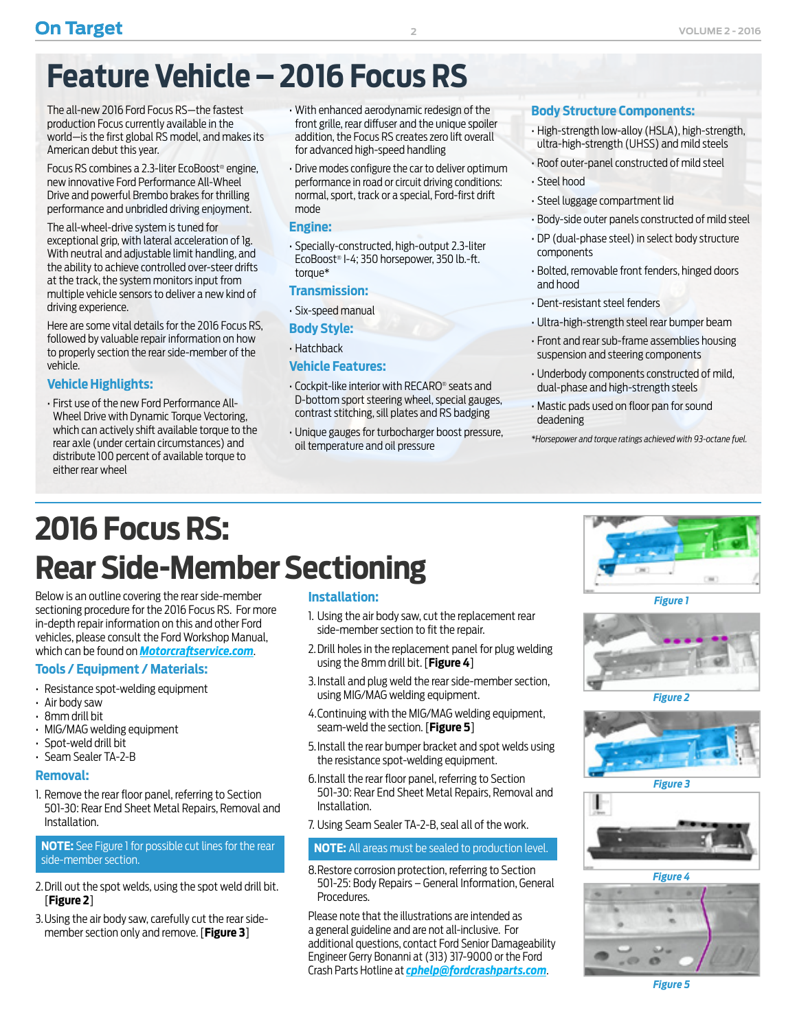# <span id="page-1-0"></span>**Feature Vehicle – 2016 Focus RS**

The all-new 2016 Ford Focus RS—the fastest production Focus currently available in the world—is the first global RS model, and makes its American debut this year.

Focus RS combines a 2.3-liter EcoBoost® engine, new innovative Ford Performance All-Wheel Drive and powerful Brembo brakes for thrilling performance and unbridled driving enjoyment.

The all-wheel-drive system is tuned for exceptional grip, with lateral acceleration of 1g. With neutral and adjustable limit handling, and the ability to achieve controlled over-steer drifts at the track, the system monitors input from multiple vehicle sensors to deliver a new kind of driving experience.

Here are some vital details for the 2016 Focus RS, followed by valuable repair information on how to properly section the rear side-member of the vehicle.

### **Vehicle Highlights:**

• First use of the new Ford Performance All-Wheel Drive with Dynamic Torque Vectoring, which can actively shift available torque to the rear axle (under certain circumstances) and distribute 100 percent of available torque to either rear wheel

- With enhanced aerodynamic redesign of the front grille, rear diffuser and the unique spoiler addition, the Focus RS creates zero lift overall for advanced high-speed handling
- Drive modes configure the car to deliver optimum performance in road or circuit driving conditions: normal, sport, track or a special, Ford-first drift mode

#### **Engine:**

• Specially-constructed, high-output 2.3-liter EcoBoost® I-4; 350 horsepower, 350 lb.-ft. torque\*

### **Transmission:**

• Six-speed manual

### **Body Style:**

• Hatchback

### **Vehicle Features:**

- Cockpit-like interior with RECARO® seats and D-bottom sport steering wheel, special gauges, contrast stitching, sill plates and RS badging
- Unique gauges for turbocharger boost pressure, oil temperature and oil pressure

### **Body Structure Components:**

- High-strength low-alloy (HSLA), high-strength, ultra-high-strength (UHSS) and mild steels
- Roof outer-panel constructed of mild steel
- Steel hood
- Steel luggage compartment lid
- Body-side outer panels constructed of mild steel
- DP (dual-phase steel) in select body structure components
- Bolted, removable front fenders, hinged doors and hood
- Dent-resistant steel fenders
- Ultra-high-strength steel rear bumper beam
- Front and rear sub-frame assemblies housing suspension and steering components
- Underbody components constructed of mild, dual-phase and high-strength steels
- Mastic pads used on floor pan for sound deadening
- *\*Horsepower and torque ratings achieved with 93-octane fuel.*

# **2016 Focus RS: Rear Side-Member Sectioning**

Below is an outline covering the rear side-member sectioning procedure for the 2016 Focus RS. For more in-depth repair information on this and other Ford vehicles, please consult the Ford Workshop Manual, which can be found on *[Motorcraftservice.com](http://www.motorcraftservice.com/vdirs/retail/default.asp)*.

### **Tools / Equipment / Materials:**

- Resistance spot-welding equipment
- Air body saw
- 8mm drill bit
- MIG/MAG welding equipment
- Spot-weld drill bit
- Seam Sealer TA-2-B

#### **Removal:**

1. Remove the rear floor panel, referring to Section 501-30: Rear End Sheet Metal Repairs, Removal and Installation.

### **NOTE:** See Figure 1 for possible cut lines for the rear side-member section.

- 2. Drill out the spot welds, using the spot weld drill bit. [**Figure 2**]
- 3. Using the air body saw, carefully cut the rear sidemember section only and remove. [**Figure 3**]

### **Installation:**

- 1. Using the air body saw, cut the replacement rear side-member section to fit the repair.
- 2. Drill holes in the replacement panel for plug welding using the 8mm drill bit. [**Figure 4**]
- 3. Install and plug weld the rear side-member section, using MIG/MAG welding equipment.
- 4. Continuing with the MIG/MAG welding equipment, seam-weld the section. [**Figure 5**]
- 5. Install the rear bumper bracket and spot welds using the resistance spot-welding equipment.
- 6. Install the rear floor panel, referring to Section 501-30: Rear End Sheet Metal Repairs, Removal and Installation.
- 7. Using Seam Sealer TA-2-B, seal all of the work.

#### **NOTE:** All areas must be sealed to production level.

8. Restore corrosion protection, referring to Section 501-25: Body Repairs – General Information, General Procedures.

Please note that the illustrations are intended as a general guideline and are not all-inclusive. For additional questions, contact Ford Senior Damageability Engineer Gerry Bonanni at (313) 317-9000 or the Ford Crash Parts Hotline at *[cphelp@fordcrashparts.com](mailto:cphelp@fordcrashparts.com)*.



*Figure 1*



*Figure 2*







*Figure 5*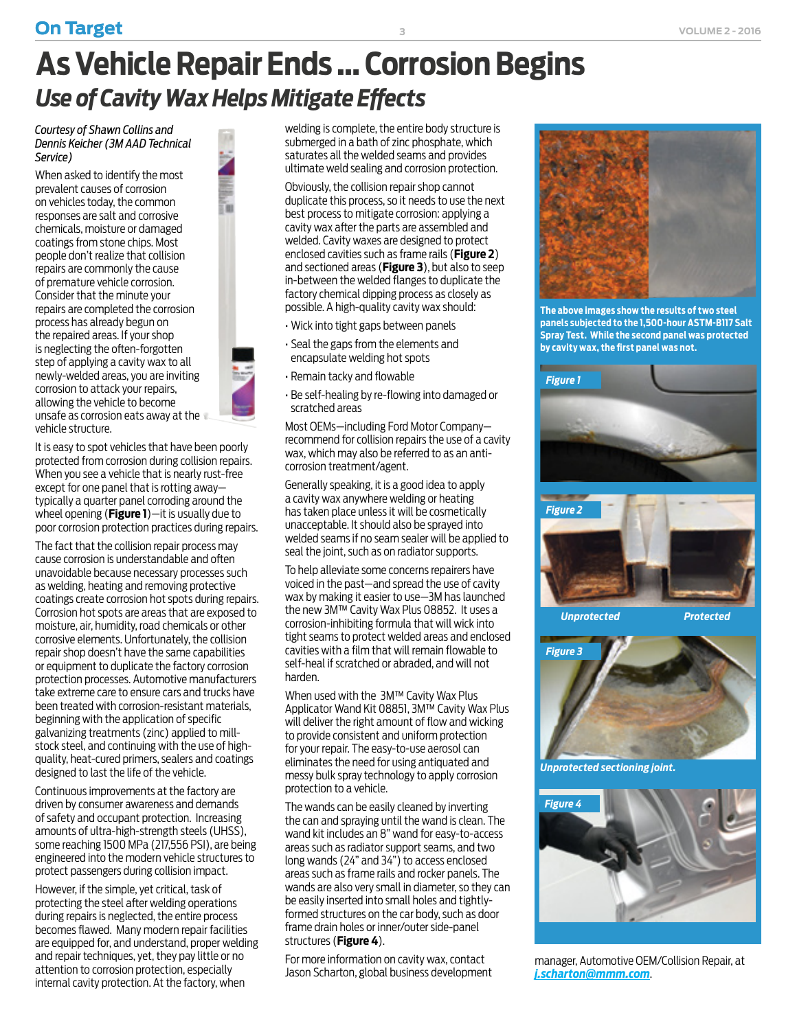# <span id="page-2-0"></span>**As Vehicle Repair Ends … Corrosion Begins** *Use of Cavity Wax Helps Mitigate Effects*

*Courtesy of Shawn Collins and Dennis Keicher (3M AAD Technical Service)*

When asked to identify the most prevalent causes of corrosion on vehicles today, the common responses are salt and corrosive chemicals, moisture or damaged coatings from stone chips. Most people don't realize that collision repairs are commonly the cause of premature vehicle corrosion. Consider that the minute your repairs are completed the corrosion process has already begun on the repaired areas. If your shop is neglecting the often-forgotten step of applying a cavity wax to all newly-welded areas, you are inviting corrosion to attack your repairs, allowing the vehicle to become unsafe as corrosion eats away at the vehicle structure.

It is easy to spot vehicles that have been poorly protected from corrosion during collision repairs. When you see a vehicle that is nearly rust-free except for one panel that is rotting away typically a quarter panel corroding around the wheel opening (**Figure 1**)—it is usually due to poor corrosion protection practices during repairs.

The fact that the collision repair process may cause corrosion is understandable and often unavoidable because necessary processes such as welding, heating and removing protective coatings create corrosion hot spots during repairs. Corrosion hot spots are areas that are exposed to moisture, air, humidity, road chemicals or other corrosive elements. Unfortunately, the collision repair shop doesn't have the same capabilities or equipment to duplicate the factory corrosion protection processes. Automotive manufacturers take extreme care to ensure cars and trucks have been treated with corrosion-resistant materials, beginning with the application of specific galvanizing treatments (zinc) applied to millstock steel, and continuing with the use of highquality, heat-cured primers, sealers and coatings designed to last the life of the vehicle.

Continuous improvements at the factory are driven by consumer awareness and demands of safety and occupant protection. Increasing amounts of ultra-high-strength steels (UHSS), some reaching 1500 MPa (217,556 PSI), are being engineered into the modern vehicle structures to protect passengers during collision impact.

However, if the simple, yet critical, task of protecting the steel after welding operations during repairs is neglected, the entire process becomes flawed. Many modern repair facilities are equipped for, and understand, proper welding and repair techniques, yet, they pay little or no attention to corrosion protection, especially internal cavity protection. At the factory, when

welding is complete, the entire body structure is submerged in a bath of zinc phosphate, which saturates all the welded seams and provides ultimate weld sealing and corrosion protection.

Obviously, the collision repair shop cannot duplicate this process, so it needs to use the next best process to mitigate corrosion: applying a cavity wax after the parts are assembled and welded. Cavity waxes are designed to protect enclosed cavities such as frame rails (**Figure 2**) and sectioned areas (**Figure 3**), but also to seep in-between the welded flanges to duplicate the factory chemical dipping process as closely as possible. A high-quality cavity wax should:

- Wick into tight gaps between panels
- Seal the gaps from the elements and encapsulate welding hot spots
- Remain tacky and flowable
- Be self-healing by re-flowing into damaged or scratched areas

Most OEMs—including Ford Motor Company recommend for collision repairs the use of a cavity wax, which may also be referred to as an anticorrosion treatment/agent.

Generally speaking, it is a good idea to apply a cavity wax anywhere welding or heating has taken place unless it will be cosmetically unacceptable. It should also be sprayed into welded seams if no seam sealer will be applied to seal the joint, such as on radiator supports.

To help alleviate some concerns repairers have voiced in the past—and spread the use of cavity wax by making it easier to use—3M has launched the new 3M™ Cavity Wax Plus 08852. It uses a corrosion-inhibiting formula that will wick into tight seams to protect welded areas and enclosed cavities with a film that will remain flowable to self-heal if scratched or abraded, and will not harden.

When used with the 3M™ Cavity Wax Plus Applicator Wand Kit 08851, 3M™ Cavity Wax Plus will deliver the right amount of flow and wicking to provide consistent and uniform protection for your repair. The easy-to-use aerosol can eliminates the need for using antiquated and messy bulk spray technology to apply corrosion protection to a vehicle.

The wands can be easily cleaned by inverting the can and spraying until the wand is clean. The wand kit includes an 8" wand for easy-to-access areas such as radiator support seams, and two long wands (24" and 34") to access enclosed areas such as frame rails and rocker panels. The wands are also very small in diameter, so they can be easily inserted into small holes and tightlyformed structures on the car body, such as door frame drain holes or inner/outer side-panel structures (**Figure 4**).

For more information on cavity wax, contact Jason Scharton, global business development



**The above images show the results of two steel panels subjected to the 1,500-hour ASTM-B117 Salt Spray Test. While the second panel was protected by cavity wax, the first panel was not.**





*Unprotected sectioning joint.*



manager, Automotive OEM/Collision Repair, at *[j.scharton@mmm.com](mailto:j.scharton%40mmm.com?subject=On%20Target%20Corrosion%20Article)*.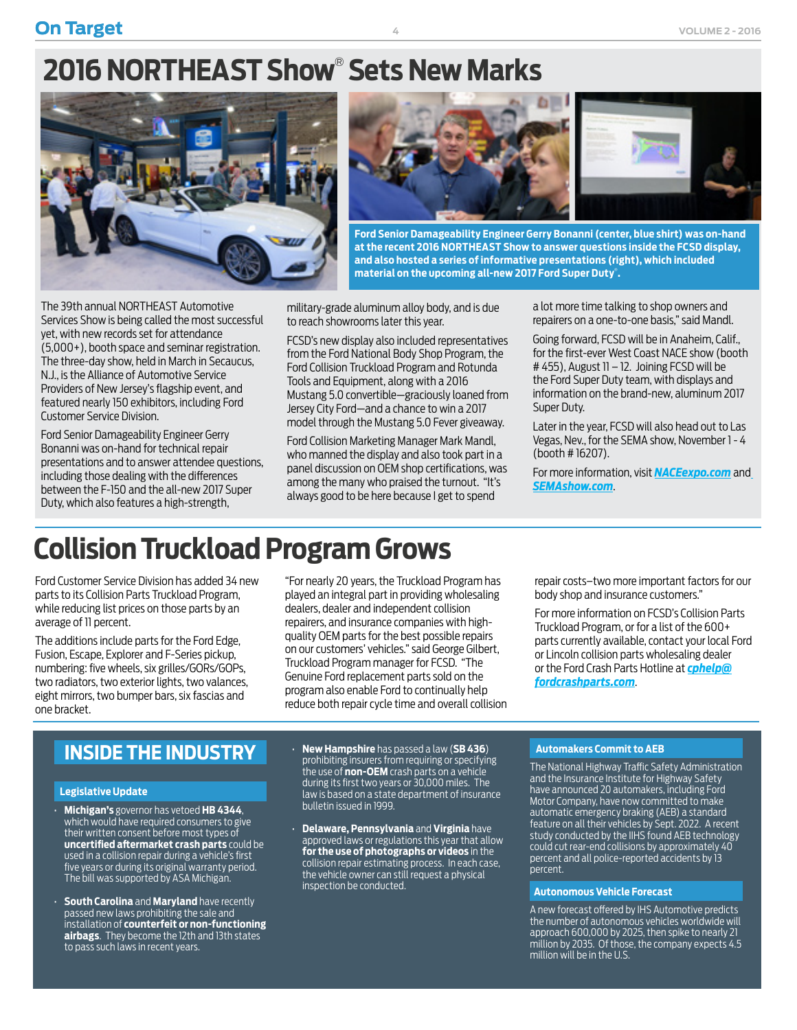## <span id="page-3-0"></span>**2016 NORTHEAST Show**®  **Sets New Marks**



The 39th annual NORTHEAST Automotive Services Show is being called the most successful yet, with new records set for attendance (5,000+), booth space and seminar registration. The three-day show, held in March in Secaucus, N.J., is the Alliance of Automotive Service Providers of New Jersey's flagship event, and featured nearly 150 exhibitors, including Ford Customer Service Division.

Ford Senior Damageability Engineer Gerry Bonanni was on-hand for technical repair presentations and to answer attendee questions, including those dealing with the differences between the F-150 and the all-new 2017 Super Duty, which also features a high-strength,



**Ford Senior Damageability Engineer Gerry Bonanni (center, blue shirt) was on-hand at the recent 2016 NORTHEAST Show to answer questions inside the FCSD display, and also hosted a series of informative presentations (right), which included material on the upcoming all-new 2017 Ford Super Duty**® **.**

military-grade aluminum alloy body, and is due to reach showrooms later this year.

FCSD's new display also included representatives from the Ford National Body Shop Program, the Ford Collision Truckload Program and Rotunda Tools and Equipment, along with a 2016 Mustang 5.0 convertible—graciously loaned from Jersey City Ford—and a chance to win a 2017 model through the Mustang 5.0 Fever giveaway.

Ford Collision Marketing Manager Mark Mandl, who manned the display and also took part in a panel discussion on OEM shop certifications, was among the many who praised the turnout. "It's always good to be here because I get to spend

a lot more time talking to shop owners and repairers on a one-to-one basis," said Mandl.

Going forward, FCSD will be in Anaheim, Calif., for the first-ever West Coast NACE show (booth # 455), August 11 – 12. Joining FCSD will be the Ford Super Duty team, with displays and information on the brand-new, aluminum 2017 Super Duty.

Later in the year, FCSD will also head out to Las Vegas, Nev., for the SEMA show, November 1 - 4 (booth # 16207).

For more information, visit *[NACEexpo.com](http://www.naceexpo.com)* and *[SEMAshow.com](http://www.semashow.com)*.

### **Collision Truckload Program Grows**

Ford Customer Service Division has added 34 new parts to its Collision Parts Truckload Program, while reducing list prices on those parts by an average of 11 percent.

The additions include parts for the Ford Edge, Fusion, Escape, Explorer and F-Series pickup, numbering: five wheels, six grilles/GORs/GOPs, two radiators, two exterior lights, two valances, eight mirrors, two bumper bars, six fascias and one bracket.

"For nearly 20 years, the Truckload Program has played an integral part in providing wholesaling dealers, dealer and independent collision repairers, and insurance companies with highquality OEM parts for the best possible repairs on our customers' vehicles." said George Gilbert, Truckload Program manager for FCSD. "The Genuine Ford replacement parts sold on the program also enable Ford to continually help reduce both repair cycle time and overall collision repair costs–two more important factors for our body shop and insurance customers."

For more information on FCSD's Collision Parts Truckload Program, or for a list of the 600+ parts currently available, contact your local Ford or Lincoln collision parts wholesaling dealer or the Ford Crash Parts Hotline at *[cphelp@](mailto:cphelp%40fordcrashparts.com?subject=Truck%20Load%20Program) [fordcrashparts.com](mailto:cphelp%40fordcrashparts.com?subject=Truck%20Load%20Program)*.

### **INSIDE THE INDUSTRY**

#### **Legislative Update**

- **Michigan's** governor has vetoed **HB 4344**, which would have required consumers to give their written consent before most types of **uncertified aftermarket crash parts** could be used in a collision repair during a vehicle's first five years or during its original warranty period. The bill was supported by ASA Michigan.
- **South Carolina** and **Maryland** have recently passed new laws prohibiting the sale and installation of **counterfeit or non-functioning airbags**. They become the 12th and 13th states to pass such laws in recent years.
- **New Hampshire** has passed a law (**SB 436**) prohibiting insurers from requiring or specifying the use of **non-OEM** crash parts on a vehicle during its first two years or 30,000 miles. The law is based on a state department of insurance bulletin issued in 1999.
- **Delaware, Pennsylvania** and **Virginia** have approved laws or regulations this year that allow **for the use of photographs or videos** in the collision repair estimating process. In each case, the vehicle owner can still request a physical inspection be conducted.

#### **Automakers Commit to AEB**

The National Highway Traffic Safety Administration and the Insurance Institute for Highway Safety have announced 20 automakers, including Ford Motor Company, have now committed to make automatic emergency braking (AEB) a standard feature on all their vehicles by Sept. 2022. A recent study conducted by the IIHS found AEB technology could cut rear-end collisions by approximately 40 percent and all police-reported accidents by 13 percent.

#### **Autonomous Vehicle Forecast**

A new forecast offered by IHS Automotive predicts the number of autonomous vehicles worldwide will approach 600,000 by 2025, then spike to nearly 21 million by 2035. Of those, the company expects 4.5 million will be in the  $U\ S$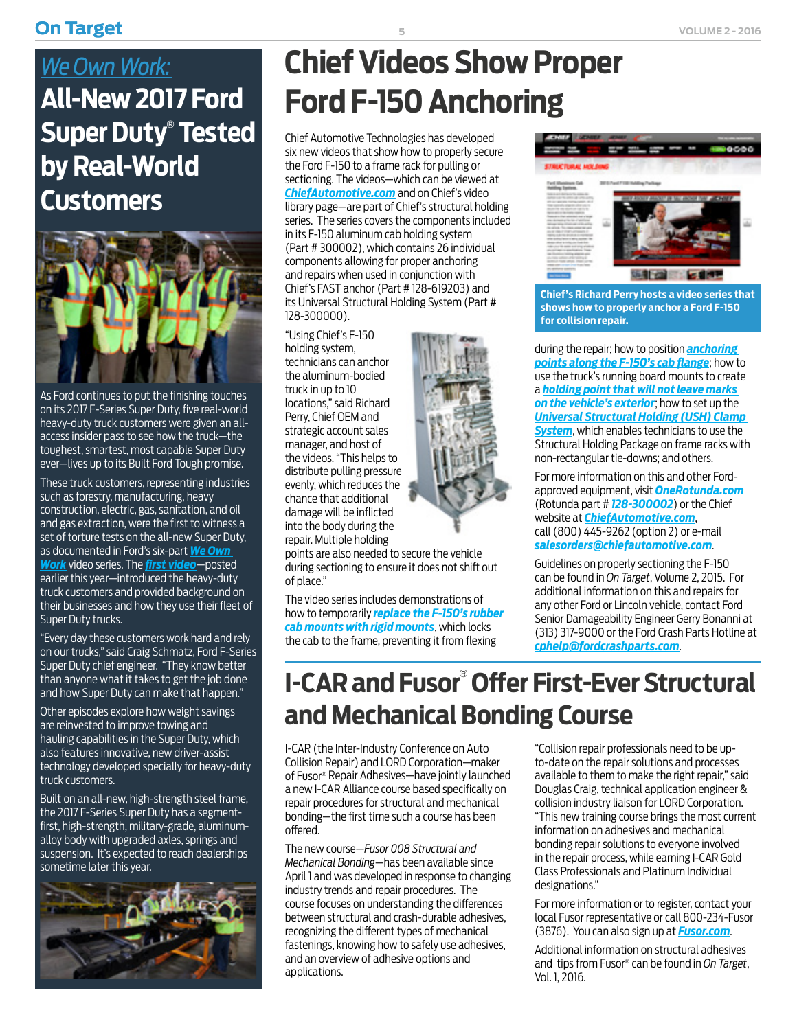### <span id="page-4-0"></span>**On Target 1 Columbus 2 - 2016 5 Columbus 2 - 2016 6 Columbus 2 - 2016**

### *We Own Work:* **All-New 2017 Ford Super Duty**®  **Tested by Real-World Customers**



As Ford continues to put the finishing touches on its 2017 F-Series Super Duty, five real-world heavy-duty truck customers were given an allaccess insider pass to see how the truck—the toughest, smartest, most capable Super Duty ever—lives up to its Built Ford Tough promise.

These truck customers, representing industries such as forestry, manufacturing, heavy construction, electric, gas, sanitation, and oil and gas extraction, were the first to witness a set of torture tests on the all-new Super Duty, as documented in Ford's six-part *[We Own](https://www.youtube.com/playlist?list=PLR7K_zpfAi6NWchVyK6MMd7HLNCHR0aDd)  [Work](https://www.youtube.com/playlist?list=PLR7K_zpfAi6NWchVyK6MMd7HLNCHR0aDd)* video series. The *[first video](https://www.youtube.com/watch?v=lCNActLZcx4&index=5&list=PLR7K_zpfAi6NWchVyK6MMd7HLNCHR0aDd)*—posted earlier this year—introduced the heavy-duty truck customers and provided background on their businesses and how they use their fleet of Super Duty trucks.

"Every day these customers work hard and rely on our trucks," said Craig Schmatz, Ford F-Series Super Duty chief engineer. "They know better than anyone what it takes to get the job done and how Super Duty can make that happen."

Other episodes explore how weight savings are reinvested to improve towing and hauling capabilities in the Super Duty, which also features innovative, new driver-assist technology developed specially for heavy-duty truck customers.

Built on an all-new, high-strength steel frame, the 2017 F-Series Super Duty has a segmentfirst, high-strength, military-grade, aluminumalloy body with upgraded axles, springs and suspension. It's expected to reach dealerships sometime later this year.



# **Chief Videos Show Proper Ford F-150 Anchoring**

Chief Automotive Technologies has developed six new videos that show how to properly secure the Ford F-150 to a frame rack for pulling or sectioning. The videos—which can be viewed at *C[hiefAutomotive.com](http://www.chiefautomotive.com/Fixture-Holding/Structural-Holding/)* and on Chief's video library page—are part of Chief's structural holding series. The series covers the components included in its F-150 aluminum cab holding system (Part # 300002), which contains 26 individual components allowing for proper anchoring and repairs when used in conjunction with Chief's FAST anchor (Part # 128-619203) and its Universal Structural Holding System (Part # 128-300000).

"Using Chief's F-150 holding system, technicians can anchor the aluminum-bodied truck in up to 10 locations," said Richard Perry, Chief OEM and strategic account sales manager, and host of the videos. "This helps to distribute pulling pressure evenly, which reduces the chance that additional damage will be inflicted into the body during the repair. Multiple holding

points are also needed to secure the vehicle during sectioning to ensure it does not shift out of place."

The video series includes demonstrations of how to temporarily *[replace the F-150's rubber](https://vimeo.com/groups/chief/videos/117169621)  [cab mounts with rigid mounts](https://vimeo.com/groups/chief/videos/117169621)*, which locks the cab to the frame, preventing it from flexing



**Chief's Richard Perry hosts a video series that shows how to properly anchor a Ford F-150 for collision repair.**

during the repair; how to position *[anchoring](https://vimeo.com/groups/chief/videos/117511194)  [points along the F-150's cab flange](https://vimeo.com/groups/chief/videos/117511194)*; how to use the truck's running board mounts to create a *[holding point that will not leave marks](https://vimeo.com/groups/chief/videos/115173773)  [on the vehicle's exterior](https://vimeo.com/groups/chief/videos/115173773)*; how to set up the *[Universal Structural Holding \(USH\) Clamp](https://vimeo.com/groups/chief/videos/115589998)  [System](https://vimeo.com/groups/chief/videos/115589998)*, which enables technicians to use the Structural Holding Package on frame racks with non-rectangular tie-downs; and others.

For more information on this and other Fordapproved equipment, visit *O[neRotunda.com](https://rotunda.service-solutions.com/en-US/Pages/home.aspx)* (Rotunda part # *[128-300002](https://rotunda.service-solutions.com/en-US/Pages/ItemDetail.aspx?SKU=128-300002)*) or the Chief website at *[ChiefAutomotive.com](http://www.chiefautomotive.com/)*, call (800) 445-9262 (option 2) or e-mail *[salesorders@chiefautomotive.com](mailto:salesorders%40chiefautomotive.com?subject=Ford%20F-150%20Anchoring)*.

Guidelines on properly sectioning the F-150 can be found in *On Target*, Volume 2, 2015. For additional information on this and repairs for any other Ford or Lincoln vehicle, contact Ford Senior Damageability Engineer Gerry Bonanni at (313) 317-9000 or the Ford Crash Parts Hotline at *[cphelp@fordcrashparts.com](mailto:cphelp%40fordcrashparts.com?subject=)*.

### **I-CAR and Fusor**®  **Offer First-Ever Structural and Mechanical Bonding Course**

I-CAR (the Inter-Industry Conference on Auto Collision Repair) and LORD Corporation—maker of Fusor® Repair Adhesives—have jointly launched a new I-CAR Alliance course based specifically on repair procedures for structural and mechanical bonding—the first time such a course has been offered.

The new course—*Fusor 008 Structural and Mechanical Bonding*—has been available since April 1 and was developed in response to changing industry trends and repair procedures. The course focuses on understanding the differences between structural and crash-durable adhesives, recognizing the different types of mechanical fastenings, knowing how to safely use adhesives, and an overview of adhesive options and applications.

"Collision repair professionals need to be upto-date on the repair solutions and processes available to them to make the right repair," said Douglas Craig, technical application engineer & collision industry liaison for LORD Corporation. "This new training course brings the most current information on adhesives and mechanical bonding repair solutions to everyone involved in the repair process, while earning I-CAR Gold Class Professionals and Platinum Individual designations."

For more information or to register, contact your local Fusor representative or call 800-234-Fusor (3876). You can also sign up at *[Fusor.com](mailto:http://www.lord.com/products-and-solutions/brands/fusor---aftermarket-repair-adhesives/?subject=)*.

Additional information on structural adhesives and tips from Fusor® can be found in *On Target*, Vol. 1, 2016.

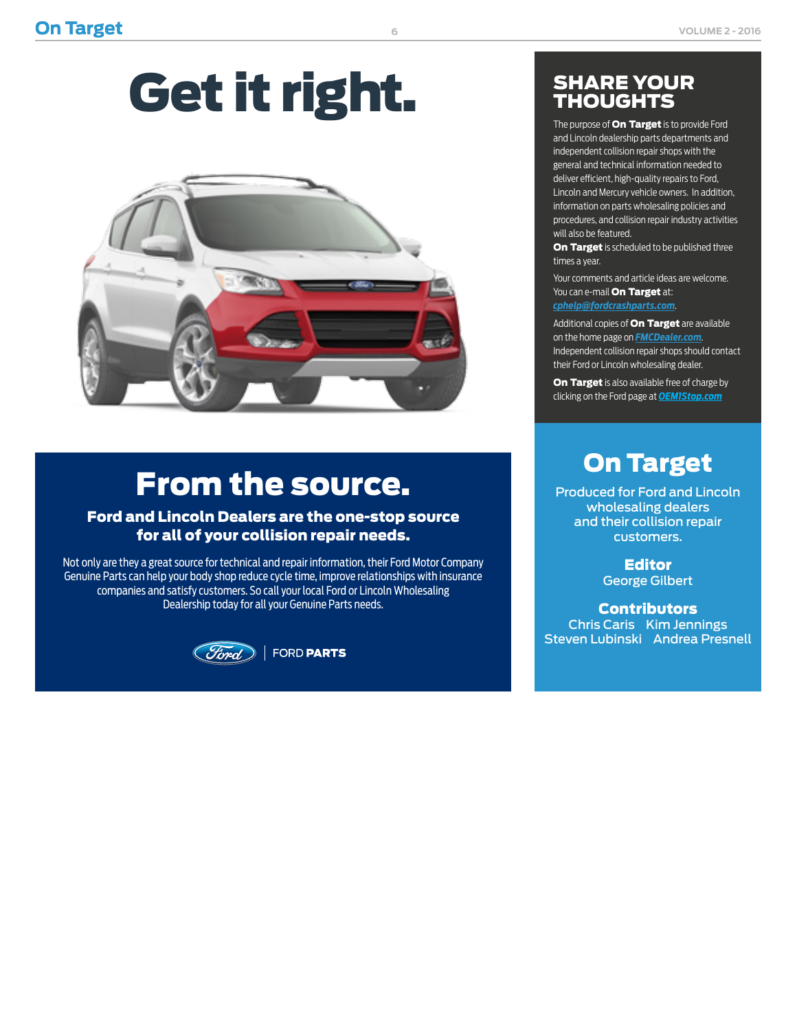# Get it right.



# From the source.

### Ford and Lincoln Dealers are the one-stop source for all of your collision repair needs.

Not only are they a great source for technical and repair information, their Ford Motor Company Genuine Parts can help your body shop reduce cycle time, improve relationships with insurance companies and satisfy customers. So call your local Ford or Lincoln Wholesaling Dealership today for all your Genuine Parts needs.



### SHARE YOUR THOUGHTS

The purpose of **On Target** is to provide Ford and Lincoln dealership parts departments and independent collision repair shops with the general and technical information needed to deliver efficient, high-quality repairs to Ford, Lincoln and Mercury vehicle owners. In addition, information on parts wholesaling policies and procedures, and collision repair industry activities will also be featured.

On Target is scheduled to be published three times a year.

Your comments and article ideas are welcome. You can e-mail **On Target** at:

*[cphelp@fordcrashparts.com](mailto:cphelp%40fordcrashparts.com?subject=)*.

Additional copies of **On Target** are available on the home page on *[FMCDealer.com](https://www.wslx.dealerconnection.com)*. Independent collision repair shops should contact their Ford or Lincoln wholesaling dealer.

On Target is also available free of charge by clicking on the Ford page at *[OEM1Stop.com](http://OEM1Stop.com)*

### On Target

Produced for Ford and Lincoln wholesaling dealers and their collision repair customers.

> **Editor** George Gilbert

**Contributors** Chris Caris Kim Jennings Steven Lubinski Andrea Presnell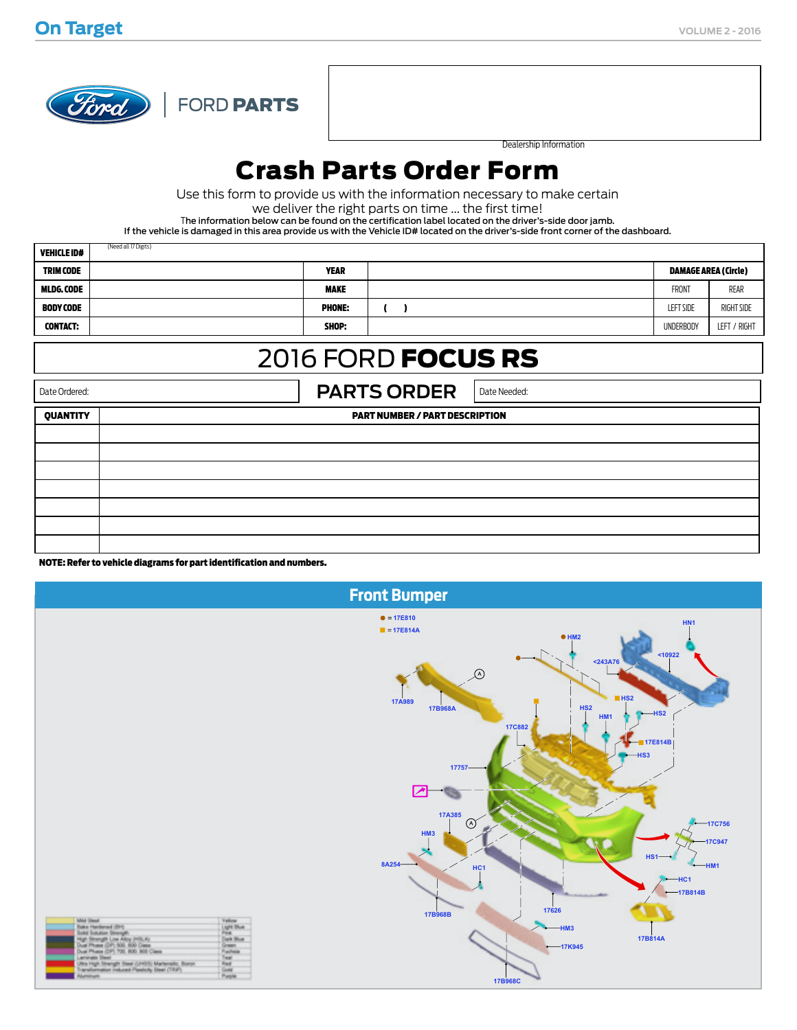

d all 17 Digits)

Dealership Information

### Crash Parts Order Form

Use this form to provide us with the information necessary to make certain

we deliver the right parts on time ... the first time!

The information below can be found on the certification label located on the driver's-side door jamb.

If the vehicle is damaged in this area provide us with the Vehicle ID# located on the driver's-side front corner of the dashboard.

| <b>VEHICLE ID#</b> | (Need all 17 Digits) |               |                  |                             |
|--------------------|----------------------|---------------|------------------|-----------------------------|
| <b>TRIM CODE</b>   |                      | <b>YEAR</b>   |                  | <b>DAMAGE AREA (Circle)</b> |
| MLDG.CODE          |                      | <b>MAKE</b>   | FRONT            | REAR                        |
| BODY CODE          |                      | <b>PHONE:</b> | <b>LEFT SIDE</b> | <b>RIGHT SIDE</b>           |
| <b>CONTACT:</b>    |                      | SHOP:         | <b>UNDERBODY</b> | LEFT / RIGHT                |

### 2016 FORD FOCUS RS

Date Ordered: **PARTS ORDER** Date Needed: QUANTITY PART NUMBER / PART DESCRIPTION

NOTE: Refer to vehicle diagrams for part identification and numbers.

| <b>Front Bumper</b>                                                                                                                                                                                                                                                                                                      |                                                                                              |                                                                                                                                                                |                                                                                                                                                   |  |  |  |
|--------------------------------------------------------------------------------------------------------------------------------------------------------------------------------------------------------------------------------------------------------------------------------------------------------------------------|----------------------------------------------------------------------------------------------|----------------------------------------------------------------------------------------------------------------------------------------------------------------|---------------------------------------------------------------------------------------------------------------------------------------------------|--|--|--|
|                                                                                                                                                                                                                                                                                                                          |                                                                                              | • 17E810<br><b>17E814A</b><br>$\mathcal{L}$<br><b>17A989</b><br>17B968A<br><b>17C882</b><br>17757<br>⇂↗<br>17A385<br>$\circled{A}$<br>HM <sub>3</sub><br>8A254 | HN <sub>1</sub><br>• HM2<br>10922<br>$243A76$<br>$H = HS2$<br>HS2<br>$-HS2$<br>HM <sub>1</sub><br>17E814B<br>$-HS3$<br>$-17C756$<br>17C947<br>HS1 |  |  |  |
| <b>Mid Steel</b><br>Sake Hardened (BH)<br>Sold Solution Strength<br>High Strength Low Alky (HSLA)<br>Aust Phase (DP) 500, 600 Dass.<br>Dual Phase (DP) 700, 800, 900 Class<br>arrate Steel<br>Jitra High Strength Steel (UHSS) Martenedic, Boron.<br>Transformation induced Plasticity Steel (TRIP).<br><b>RAPRIMARE</b> | <b>Yellow</b><br>Light Blue<br>Pre.<br>Dark Blue<br>Green.<br><b>Fuchsiz</b><br>Ωř<br>Purple | HC <sub>1</sub><br>17B968B<br><b>17B968C</b>                                                                                                                   | HMA<br>$-$ HC1<br>$-17B814B$<br>17626<br>$-HM3$<br>17B814A<br>$-17K945$                                                                           |  |  |  |